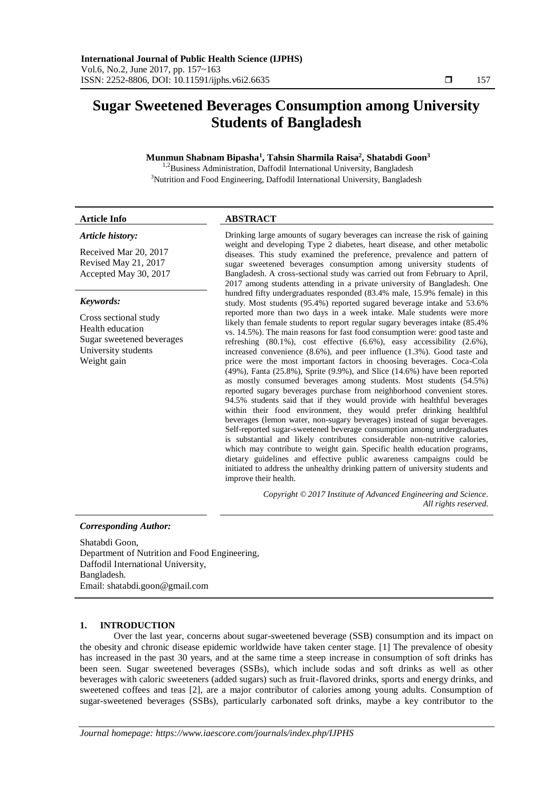# **Sugar Sweetened Beverages Consumption among University Students of Bangladesh**

# **Munmun Shabnam Bipasha<sup>1</sup> , Tahsin Sharmila Raisa<sup>2</sup> , Shatabdi Goon<sup>3</sup>**

<sup>1,2</sup>Business Administration, Daffodil International University, Bangladesh <sup>3</sup>Nutrition and Food Engineering, Daffodil International University, Bangladesh

# **Article Info ABSTRACT**

### *Article history:*

Received Mar 20, 2017 Revised May 21, 2017 Accepted May 30, 2017

# *Keywords:*

Cross sectional study Health education Sugar sweetened beverages University students Weight gain

Drinking large amounts of sugary beverages can increase the risk of gaining weight and developing Type 2 diabetes, heart disease, and other metabolic diseases. This study examined the preference, prevalence and pattern of sugar sweetened beverages consumption among university students of Bangladesh. A cross-sectional study was carried out from February to April, 2017 among students attending in a private university of Bangladesh. One hundred fifty undergraduates responded (83.4% male, 15.9% female) in this study. Most students (95.4%) reported sugared beverage intake and 53.6% reported more than two days in a week intake. Male students were more likely than female students to report regular sugary beverages intake (85.4% vs. 14.5%). The main reasons for fast food consumption were: good taste and refreshing (80.1%), cost effective (6.6%), easy accessibility (2.6%), increased convenience (8.6%), and peer influence (1.3%). Good taste and price were the most important factors in choosing beverages. Coca-Cola (49%), Fanta (25.8%), Sprite (9.9%), and Slice (14.6%) have been reported as mostly consumed beverages among students. Most students (54.5%) reported sugary beverages purchase from neighborhood convenient stores. 94.5% students said that if they would provide with healthful beverages within their food environment, they would prefer drinking healthful beverages (lemon water, non-sugary beverages) instead of sugar beverages. Self-reported sugar-sweetened beverage consumption among undergraduates is substantial and likely contributes considerable non-nutritive calories, which may contribute to weight gain. Specific health education programs, dietary guidelines and effective public awareness campaigns could be initiated to address the unhealthy drinking pattern of university students and improve their health.

> *Copyright © 2017 Institute of Advanced Engineering and Science. All rights reserved.*

# *Corresponding Author:*

Shatabdi Goon, Department of Nutrition and Food Engineering, Daffodil International University, Bangladesh. Email: [shatabdi.goon@gmail.com](mailto:shatabdi.goon@gmail.com)

# **1. INTRODUCTION**

Over the last year, concerns about sugar-sweetened beverage (SSB) consumption and its impact on the obesity and chronic disease epidemic worldwide have taken center stage. [1] The prevalence of obesity has increased in the past 30 years, and at the same time a steep increase in consumption of soft drinks has been seen. Sugar sweetened beverages (SSBs), which include sodas and soft drinks as well as other beverages with caloric sweeteners (added sugars) such as fruit-flavored drinks, sports and energy drinks, and sweetened coffees and teas [2], are a major contributor of calories among young adults. Consumption of sugar-sweetened beverages (SSBs), particularly carbonated soft drinks, maybe a key contributor to the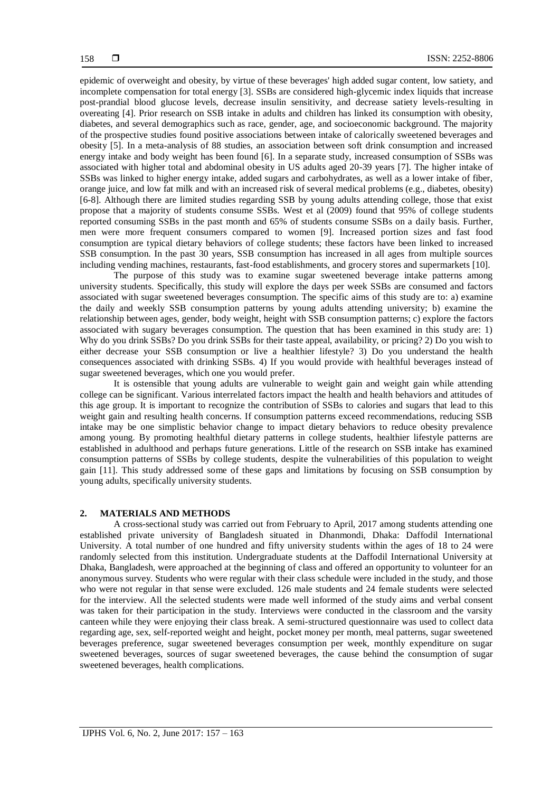epidemic of overweight and obesity, by virtue of these beverages' high added sugar content, low satiety, and incomplete compensation for total energy [3]. SSBs are considered high-glycemic index liquids that increase post-prandial blood glucose levels, decrease insulin sensitivity, and decrease satiety levels-resulting in overeating [4]. Prior research on SSB intake in adults and children has linked its consumption with obesity, diabetes, and several demographics such as race, gender, age, and socioeconomic background. The majority of the prospective studies found positive associations between intake of calorically sweetened beverages and obesity [5]. In a meta-analysis of 88 studies, an association between soft drink consumption and increased energy intake and body weight has been found [6]. In a separate study, increased consumption of SSBs was associated with higher total and abdominal obesity in US adults aged 20-39 years [7]. The higher intake of SSBs was linked to higher energy intake, added sugars and carbohydrates, as well as a lower intake of fiber, orange juice, and low fat milk and with an increased risk of several medical problems (e.g., diabetes, obesity) [6-8]. Although there are limited studies regarding SSB by young adults attending college, those that exist propose that a majority of students consume SSBs. West et al (2009) found that 95% of college students reported consuming SSBs in the past month and 65% of students consume SSBs on a daily basis. Further, men were more frequent consumers compared to women [9]. Increased portion sizes and fast food consumption are typical dietary behaviors of college students; these factors have been linked to increased SSB consumption. In the past 30 years, SSB consumption has increased in all ages from multiple sources including vending machines, restaurants, fast-food establishments, and grocery stores and supermarkets [10].

The purpose of this study was to examine sugar sweetened beverage intake patterns among university students. Specifically, this study will explore the days per week SSBs are consumed and factors associated with sugar sweetened beverages consumption. The specific aims of this study are to: a) examine the daily and weekly SSB consumption patterns by young adults attending university; b) examine the relationship between ages, gender, body weight, height with SSB consumption patterns; c) explore the factors associated with sugary beverages consumption. The question that has been examined in this study are: 1) Why do you drink SSBs? Do you drink SSBs for their taste appeal, availability, or pricing? 2) Do you wish to either decrease your SSB consumption or live a healthier lifestyle? 3) Do you understand the health consequences associated with drinking SSBs. 4) If you would provide with healthful beverages instead of sugar sweetened beverages, which one you would prefer.

It is ostensible that young adults are vulnerable to weight gain and weight gain while attending college can be significant. Various interrelated factors impact the health and health behaviors and attitudes of this age group. It is important to recognize the contribution of SSBs to calories and sugars that lead to this weight gain and resulting health concerns. If consumption patterns exceed recommendations, reducing SSB intake may be one simplistic behavior change to impact dietary behaviors to reduce obesity prevalence among young. By promoting healthful dietary patterns in college students, healthier lifestyle patterns are established in adulthood and perhaps future generations. Little of the research on SSB intake has examined consumption patterns of SSBs by college students, despite the vulnerabilities of this population to weight gain [11]. This study addressed some of these gaps and limitations by focusing on SSB consumption by young adults, specifically university students.

# **2. MATERIALS AND METHODS**

A cross-sectional study was carried out from February to April, 2017 among students attending one established private university of Bangladesh situated in Dhanmondi, Dhaka: Daffodil International University. A total number of one hundred and fifty university students within the ages of 18 to 24 were randomly selected from this institution. Undergraduate students at the Daffodil International University at Dhaka, Bangladesh, were approached at the beginning of class and offered an opportunity to volunteer for an anonymous survey. Students who were regular with their class schedule were included in the study, and those who were not regular in that sense were excluded. 126 male students and 24 female students were selected for the interview. All the selected students were made well informed of the study aims and verbal consent was taken for their participation in the study. Interviews were conducted in the classroom and the varsity canteen while they were enjoying their class break. A semi-structured questionnaire was used to collect data regarding age, sex, self-reported weight and height, pocket money per month, meal patterns, sugar sweetened beverages preference, sugar sweetened beverages consumption per week, monthly expenditure on sugar sweetened beverages, sources of sugar sweetened beverages, the cause behind the consumption of sugar sweetened beverages, health complications.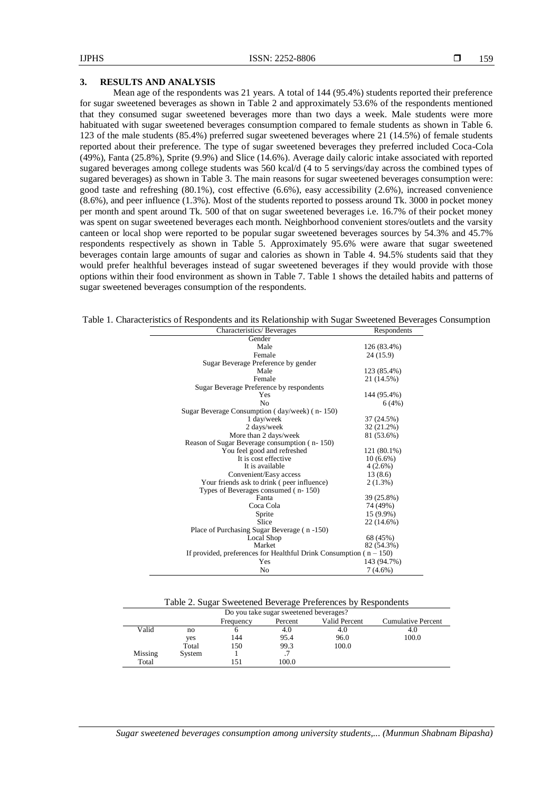# **3. RESULTS AND ANALYSIS**

Mean age of the respondents was 21 years. A total of 144 (95.4%) students reported their preference for sugar sweetened beverages as shown in Table 2 and approximately 53.6% of the respondents mentioned that they consumed sugar sweetened beverages more than two days a week. Male students were more habituated with sugar sweetened beverages consumption compared to female students as shown in Table 6. 123 of the male students (85.4%) preferred sugar sweetened beverages where 21 (14.5%) of female students reported about their preference. The type of sugar sweetened beverages they preferred included Coca-Cola (49%), Fanta (25.8%), Sprite (9.9%) and Slice (14.6%). Average daily caloric intake associated with reported sugared beverages among college students was 560 kcal/d (4 to 5 servings/day across the combined types of sugared beverages) as shown in Table 3. The main reasons for sugar sweetened beverages consumption were: good taste and refreshing (80.1%), cost effective (6.6%), easy accessibility (2.6%), increased convenience (8.6%), and peer influence (1.3%). Most of the students reported to possess around Tk. 3000 in pocket money per month and spent around Tk. 500 of that on sugar sweetened beverages i.e. 16.7% of their pocket money was spent on sugar sweetened beverages each month. Neighborhood convenient stores/outlets and the varsity canteen or local shop were reported to be popular sugar sweetened beverages sources by 54.3% and 45.7% respondents respectively as shown in Table 5. Approximately 95.6% were aware that sugar sweetened beverages contain large amounts of sugar and calories as shown in Table 4. 94.5% students said that they would prefer healthful beverages instead of sugar sweetened beverages if they would provide with those options within their food environment as shown in Table 7. Table 1 shows the detailed habits and patterns of sugar sweetened beverages consumption of the respondents.

Table 1. Characteristics of Respondents and its Relationship with Sugar Sweetened Beverages Consumption

| Characteristics/Beverages                                              | Respondents |
|------------------------------------------------------------------------|-------------|
| Gender                                                                 |             |
| Male                                                                   | 126 (83.4%) |
| Female                                                                 | 24 (15.9)   |
| Sugar Beverage Preference by gender                                    |             |
| Male                                                                   | 123 (85.4%) |
| Female                                                                 | 21 (14.5%)  |
| Sugar Beverage Preference by respondents                               |             |
| Yes                                                                    | 144 (95.4%) |
| N <sub>0</sub>                                                         | 6(4%)       |
| Sugar Beverage Consumption (day/week) (n-150)                          |             |
| 1 day/week                                                             | 37 (24.5%)  |
| 2 days/week                                                            | 32 (21.2%)  |
| More than 2 days/week                                                  | 81 (53.6%)  |
| Reason of Sugar Beverage consumption (n-150)                           |             |
| You feel good and refreshed                                            | 121 (80.1%) |
| It is cost effective                                                   | $10(6.6\%)$ |
| It is available                                                        | $4(2.6\%)$  |
| Convenient/Easy access                                                 | 13(8.6)     |
| Your friends ask to drink (peer influence)                             | $2(1.3\%)$  |
| Types of Beverages consumed (n-150)                                    |             |
| Fanta                                                                  | 39 (25.8%)  |
| Coca Cola                                                              | 74 (49%)    |
| Sprite                                                                 | 15 (9.9%)   |
| Slice                                                                  | 22 (14.6%)  |
| Place of Purchasing Sugar Beverage (n-150)                             |             |
| Local Shop                                                             | 68 (45%)    |
| Market                                                                 | 82 (54.3%)  |
| If provided, preferences for Healthful Drink Consumption ( $n - 150$ ) |             |
| Yes                                                                    | 143 (94.7%) |
| No                                                                     | $7(4.6\%)$  |

| Table 2. Sugar Sweetened Beverage Preferences by Respondents |  |  |  |
|--------------------------------------------------------------|--|--|--|
|                                                              |  |  |  |

| Do you take sugar sweetened beverages? |        |           |         |               |                           |
|----------------------------------------|--------|-----------|---------|---------------|---------------------------|
|                                        |        | Frequency | Percent | Valid Percent | <b>Cumulative Percent</b> |
| Valid                                  | no     |           | 4.0     | 4.0           | 4.0                       |
|                                        | yes    | 144       | 95.4    | 96.0          | 100.0                     |
|                                        | Total  | 150       | 99.3    | 100.0         |                           |
| Missing                                | System |           |         |               |                           |
| Total                                  |        |           | 100.0   |               |                           |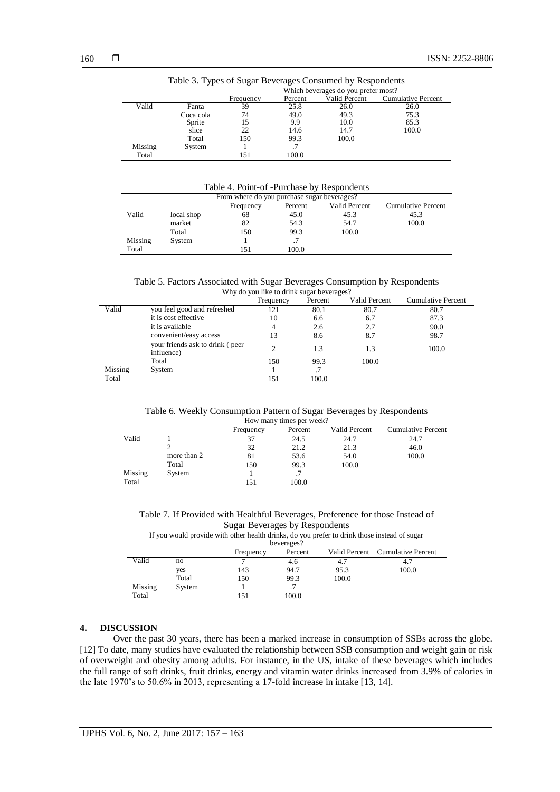| Table 3. Types of Sugar Beverages Consumed by Respondents |           |                                     |         |               |                    |  |
|-----------------------------------------------------------|-----------|-------------------------------------|---------|---------------|--------------------|--|
|                                                           |           | Which beverages do you prefer most? |         |               |                    |  |
|                                                           |           | Frequency                           | Percent | Valid Percent | Cumulative Percent |  |
| Valid                                                     | Fanta     | 39                                  | 25.8    | 26.0          | 26.0               |  |
|                                                           | Coca cola | 74                                  | 49.0    | 49.3          | 75.3               |  |
|                                                           | Sprite    | 15                                  | 9.9     | 10.0          | 85.3               |  |
|                                                           | slice     | 22                                  | 14.6    | 14.7          | 100.0              |  |
|                                                           | Total     | 150                                 | 99.3    | 100.0         |                    |  |
| Missing                                                   | System    |                                     |         |               |                    |  |
| Total                                                     |           | 151                                 | 100.0   |               |                    |  |

Table 4. Point-of -Purchase by Respondents

| From where do you purchase sugar beverages? |            |           |         |               |                           |
|---------------------------------------------|------------|-----------|---------|---------------|---------------------------|
|                                             |            | Frequency | Percent | Valid Percent | <b>Cumulative Percent</b> |
| Valid                                       | local shop | 68        | 45.0    | 45.3          | 45.3                      |
|                                             | market     | 82        | 54.3    | 54.7          | 100.0                     |
|                                             | Total      | 150       | 99.3    | 100.0         |                           |
| Missing                                     | System     |           |         |               |                           |
| Total                                       |            | 151       | 100.0   |               |                           |

Table 5. Factors Associated with Sugar Beverages Consumption by Respondents

| Why do you like to drink sugar beverages? |                                               |           |         |                      |                           |  |
|-------------------------------------------|-----------------------------------------------|-----------|---------|----------------------|---------------------------|--|
|                                           |                                               | Frequency | Percent | <b>Valid Percent</b> | <b>Cumulative Percent</b> |  |
| Valid                                     | you feel good and refreshed                   | 121       | 80.1    | 80.7                 | 80.7                      |  |
|                                           | it is cost effective                          | 10        | 6.6     | 6.7                  | 87.3                      |  |
|                                           | it is available                               | 4         | 2.6     | 2.7                  | 90.0                      |  |
|                                           | convenient/easy access                        | 13        | 8.6     | 8.7                  | 98.7                      |  |
|                                           | your friends ask to drink (peer<br>influence) |           | 1.3     | 1.3                  | 100.0                     |  |
|                                           | Total                                         | 150       | 99.3    | 100.0                |                           |  |
| Missing                                   | System                                        |           | .7      |                      |                           |  |
| Total                                     |                                               | 151       | 100.0   |                      |                           |  |

Table 6. Weekly Consumption Pattern of Sugar Beverages by Respondents

| How many times per week?                                           |             |     |       |       |       |  |  |
|--------------------------------------------------------------------|-------------|-----|-------|-------|-------|--|--|
| Valid Percent<br><b>Cumulative Percent</b><br>Percent<br>Frequency |             |     |       |       |       |  |  |
| Valid                                                              |             | 37  | 24.5  | 24.7  | 24.7  |  |  |
|                                                                    |             | 32  | 21.2  | 21.3  | 46.0  |  |  |
|                                                                    | more than 2 | 81  | 53.6  | 54.0  | 100.0 |  |  |
|                                                                    | Total       | 150 | 99.3  | 100.0 |       |  |  |
| Missing                                                            | System      |     |       |       |       |  |  |
| Total                                                              |             | 151 | 100.0 |       |       |  |  |

Table 7. If Provided with Healthful Beverages, Preference for those Instead of Sugar Beverages by Respondents

| $\log_{\alpha}$ Developed by Respondents                                                     |                                                          |     |            |       |       |  |  |
|----------------------------------------------------------------------------------------------|----------------------------------------------------------|-----|------------|-------|-------|--|--|
| If you would provide with other health drinks, do you prefer to drink those instead of sugar |                                                          |     |            |       |       |  |  |
|                                                                                              |                                                          |     | beverages? |       |       |  |  |
|                                                                                              | Valid Percent Cumulative Percent<br>Percent<br>Frequency |     |            |       |       |  |  |
| Valid                                                                                        | no                                                       |     | 4.6        | 4.7   |       |  |  |
|                                                                                              | yes                                                      | 143 | 94.7       | 95.3  | 100.0 |  |  |
|                                                                                              | Total                                                    | 150 | 99.3       | 100.0 |       |  |  |
| Missing                                                                                      | System                                                   |     |            |       |       |  |  |
| Total                                                                                        |                                                          | 151 | 100.0      |       |       |  |  |

# **4. DISCUSSION**

Over the past 30 years, there has been a marked increase in consumption of SSBs across the globe. [12] To date, many studies have evaluated the relationship between SSB consumption and weight gain or risk of overweight and obesity among adults. For instance, in the US, intake of these beverages which includes the full range of soft drinks, fruit drinks, energy and vitamin water drinks increased from 3.9% of calories in the late 1970's to 50.6% in 2013, representing a 17-fold increase in intake [13, 14].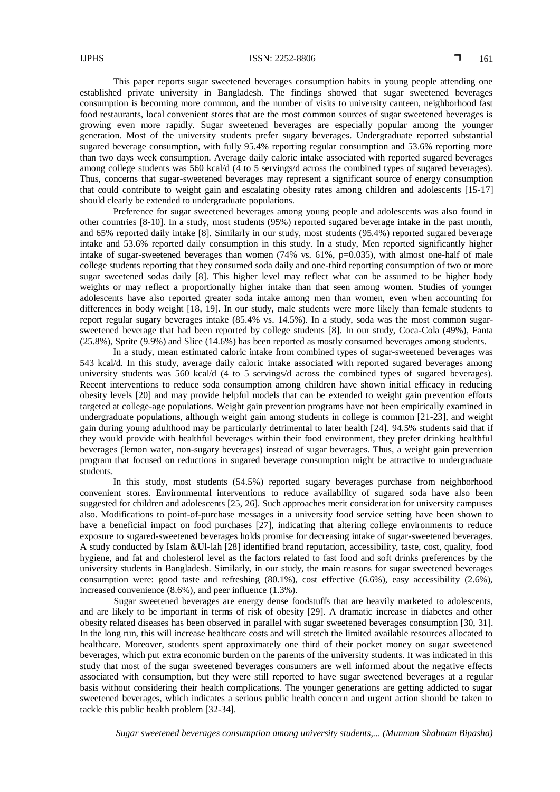This paper reports sugar sweetened beverages consumption habits in young people attending one established private university in Bangladesh. The findings showed that sugar sweetened beverages consumption is becoming more common, and the number of visits to university canteen, neighborhood fast food restaurants, local convenient stores that are the most common sources of sugar sweetened beverages is growing even more rapidly. Sugar sweetened beverages are especially popular among the younger generation. Most of the university students prefer sugary beverages. Undergraduate reported substantial sugared beverage consumption, with fully 95.4% reporting regular consumption and 53.6% reporting more than two days week consumption. Average daily caloric intake associated with reported sugared beverages among college students was 560 kcal/d (4 to 5 servings/d across the combined types of sugared beverages). Thus, concerns that sugar-sweetened beverages may represent a significant source of energy consumption that could contribute to weight gain and escalating obesity rates among children and adolescents [15-17] should clearly be extended to undergraduate populations.

Preference for sugar sweetened beverages among young people and adolescents was also found in other countries [8-10]. In a study, most students (95%) reported sugared beverage intake in the past month, and 65% reported daily intake [8]. Similarly in our study, most students (95.4%) reported sugared beverage intake and 53.6% reported daily consumption in this study. In a study, Men reported significantly higher intake of sugar-sweetened beverages than women  $(74\%$  vs. 61%, p=0.035), with almost one-half of male college students reporting that they consumed soda daily and one-third reporting consumption of two or more sugar sweetened sodas daily [8]. This higher level may reflect what can be assumed to be higher body weights or may reflect a proportionally higher intake than that seen among women. Studies of younger adolescents have also reported greater soda intake among men than women, even when accounting for differences in body weight [18, 19]. In our study, male students were more likely than female students to report regular sugary beverages intake (85.4% vs. 14.5%). In a study, soda was the most common sugarsweetened beverage that had been reported by college students [8]. In our study, Coca-Cola (49%), Fanta (25.8%), Sprite (9.9%) and Slice (14.6%) has been reported as mostly consumed beverages among students.

In a study, mean estimated caloric intake from combined types of sugar-sweetened beverages was 543 kcal/d. In this study, average daily caloric intake associated with reported sugared beverages among university students was 560 kcal/d (4 to 5 servings/d across the combined types of sugared beverages). Recent interventions to reduce soda consumption among children have shown initial efficacy in reducing obesity levels [20] and may provide helpful models that can be extended to weight gain prevention efforts targeted at college-age populations. Weight gain prevention programs have not been empirically examined in undergraduate populations, although weight gain among students in college is common [21-23], and weight gain during young adulthood may be particularly detrimental to later health [24]. 94.5% students said that if they would provide with healthful beverages within their food environment, they prefer drinking healthful beverages (lemon water, non-sugary beverages) instead of sugar beverages. Thus, a weight gain prevention program that focused on reductions in sugared beverage consumption might be attractive to undergraduate students.

In this study, most students (54.5%) reported sugary beverages purchase from neighborhood convenient stores. Environmental interventions to reduce availability of sugared soda have also been suggested for children and adolescents [25, 26]. Such approaches merit consideration for university campuses also. Modifications to point-of-purchase messages in a university food service setting have been shown to have a beneficial impact on food purchases [27], indicating that altering college environments to reduce exposure to sugared-sweetened beverages holds promise for decreasing intake of sugar-sweetened beverages. A study conducted by Islam &Ul-lah [28] identified brand reputation, accessibility, taste, cost, quality, food hygiene, and fat and cholesterol level as the factors related to fast food and soft drinks preferences by the university students in Bangladesh. Similarly, in our study, the main reasons for sugar sweetened beverages consumption were: good taste and refreshing (80.1%), cost effective (6.6%), easy accessibility (2.6%), increased convenience (8.6%), and peer influence (1.3%).

Sugar sweetened beverages are energy dense foodstuffs that are heavily marketed to adolescents, and are likely to be important in terms of risk of obesity [29]. A dramatic increase in diabetes and other obesity related diseases has been observed in parallel with sugar sweetened beverages consumption [30, 31]. In the long run, this will increase healthcare costs and will stretch the limited available resources allocated to healthcare. Moreover, students spent approximately one third of their pocket money on sugar sweetened beverages, which put extra economic burden on the parents of the university students. It was indicated in this study that most of the sugar sweetened beverages consumers are well informed about the negative effects associated with consumption, but they were still reported to have sugar sweetened beverages at a regular basis without considering their health complications. The younger generations are getting addicted to sugar sweetened beverages, which indicates a serious public health concern and urgent action should be taken to tackle this public health problem [32-34].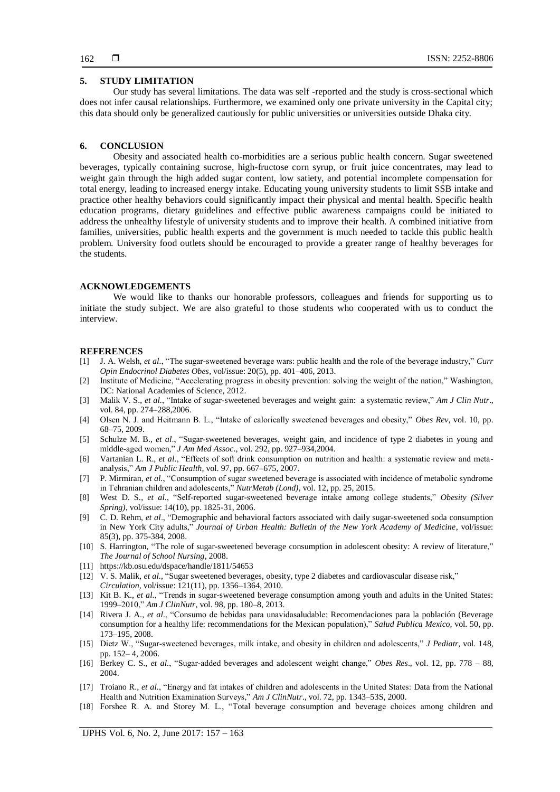## **5. STUDY LIMITATION**

Our study has several limitations. The data was self -reported and the study is cross-sectional which does not infer causal relationships. Furthermore, we examined only one private university in the Capital city; this data should only be generalized cautiously for public universities or universities outside Dhaka city.

#### **6. CONCLUSION**

Obesity and associated health co-morbidities are a serious public health concern. Sugar sweetened beverages, typically containing sucrose, high-fructose corn syrup, or fruit juice concentrates, may lead to weight gain through the high added sugar content, low satiety, and potential incomplete compensation for total energy, leading to increased energy intake. Educating young university students to limit SSB intake and practice other healthy behaviors could significantly impact their physical and mental health. Specific health education programs, dietary guidelines and effective public awareness campaigns could be initiated to address the unhealthy lifestyle of university students and to improve their health. A combined initiative from families, universities, public health experts and the government is much needed to tackle this public health problem. University food outlets should be encouraged to provide a greater range of healthy beverages for the students.

#### **ACKNOWLEDGEMENTS**

We would like to thanks our honorable professors, colleagues and friends for supporting us to initiate the study subject. We are also grateful to those students who cooperated with us to conduct the interview.

#### **REFERENCES**

- [1] [J. A. Welsh,](https://www.ncbi.nlm.nih.gov/pubmed/?term=Welsh%20JA%5BAuthor%5D&cauthor=true&cauthor_uid=23974767) *et al.*, "The sugar-sweetened beverage wars: public health and the role of the beverage industry," *[Curr](https://www.ncbi.nlm.nih.gov/entrez/eutils/elink.fcgi?dbfrom=pubmed&retmode=ref&cmd=prlinks&id=23974767) Opin Endocrinol Diabetes Obes*[, vol/issue: 20\(5\), pp. 401–406,](https://www.ncbi.nlm.nih.gov/entrez/eutils/elink.fcgi?dbfrom=pubmed&retmode=ref&cmd=prlinks&id=23974767) 2013.
- [2] Institute of Medicine, "Accelerating progress in obesity prevention: solving the weight of the nation," Washington, DC: National Academies of Science, 2012.
- [3] Malik V. S., *et al.*, "Intake of sugar-sweetened beverages and weight gain: a systematic review," *Am J Clin Nutr*., vol. 84, pp. 274–288,2006.
- [4] Olsen N. J. and Heitmann B. L., "Intake of calorically sweetened beverages and obesity," *Obes Rev,* vol. 10, pp. 68–75, 2009.
- [5] Schulze M. B., *et al*., "Sugar-sweetened beverages, weight gain, and incidence of type 2 diabetes in young and middle-aged women," *J Am Med Assoc*., vol. 292, pp. 927–934,2004.
- [6] Vartanian L. R., *et al.*, "Effects of soft drink consumption on nutrition and health: a systematic review and metaanalysis," *Am J Public Health,* vol. 97, pp. 667–675, 2007.
- [7] [P. Mirmiran,](https://www.ncbi.nlm.nih.gov/pubmed/?term=Mirmiran%20P%5BAuthor%5D&cauthor=true&cauthor_uid=26225136) *et al.*, "Consumption of sugar sweetened beverage is associated with incidence of metabolic syndrome in Tehranian children and adolescents," *[NutrMetab \(Lond\),](https://www.ncbi.nlm.nih.gov/pmc/articles/PMC4518610/)* vol. 12, pp. 25, 2015.
- [8] [West D. S.,](https://www.ncbi.nlm.nih.gov/pubmed/?term=West%20DS%5BAuthor%5D&cauthor=true&cauthor_uid=17062813) *et al.*, "Self-reported sugar-sweetened beverage intake among college students," *[Obesity \(Silver](https://www.ncbi.nlm.nih.gov/pubmed/17062813) [Spring\)](https://www.ncbi.nlm.nih.gov/pubmed/17062813)*, vol/issue: 14(10), pp. 1825-31, 2006.
- [9] C. D. Rehm, *et al*., "Demographic and behavioral factors associated with daily sugar-sweetened soda consumption in New York City adults," *Journal of Urban Health: Bulletin of the New York Academy of Medicine*, vol/issue: 85(3), pp. 375-384, 2008.
- [10] S. Harrington, "The role of sugar-sweetened beverage consumption in adolescent obesity: A review of literature," *The Journal of School Nursing*, 2008.
- [11] <https://kb.osu.edu/dspace/handle/1811/54653>
- [12] V. S. [Malik,](https://www.ncbi.nlm.nih.gov/pubmed/?term=Malik%20VS%5BAuthor%5D&cauthor=true&cauthor_uid=20308626) *et al.*, "Sugar sweetened beverages, obesity, type 2 diabetes and cardiovascular disease risk," *Circulation,* [vol/issue: 121\(11\), pp. 1356–1364, 2010.](https://www.ncbi.nlm.nih.gov/entrez/eutils/elink.fcgi?dbfrom=pubmed&retmode=ref&cmd=prlinks&id=20308626)
- [13] Kit B. K., *et al.*, "Trends in sugar-sweetened beverage consumption among youth and adults in the United States: 1999–2010," *Am J ClinNutr*, vol. 98, pp. 180–8, 2013.
- [14] Rivera J. A., *et al.*, "Consumo de bebidas para unavidasaludable: Recomendaciones para la población (Beverage consumption for a healthy life: recommendations for the Mexican population)," *Salud Publica Mexico,* vol. 50, pp. 173–195, 2008.
- [15] Dietz W., "Sugar-sweetened beverages, milk intake, and obesity in children and adolescents," *J Pediatr,* vol. 148, pp. 152– 4, 2006.
- [16] Berkey C. S., *et al.*, "Sugar-added beverages and adolescent weight change," *Obes Res*., vol. 12, pp. 778 88, 2004.
- [17] Troiano R., *et al.*, "Energy and fat intakes of children and adolescents in the United States: Data from the National Health and Nutrition Examination Surveys," *Am J ClinNutr*., vol. 72, pp. 1343–53S, 2000.
- [18] Forshee R. A. and Storey M. L., "Total beverage consumption and beverage choices among children and